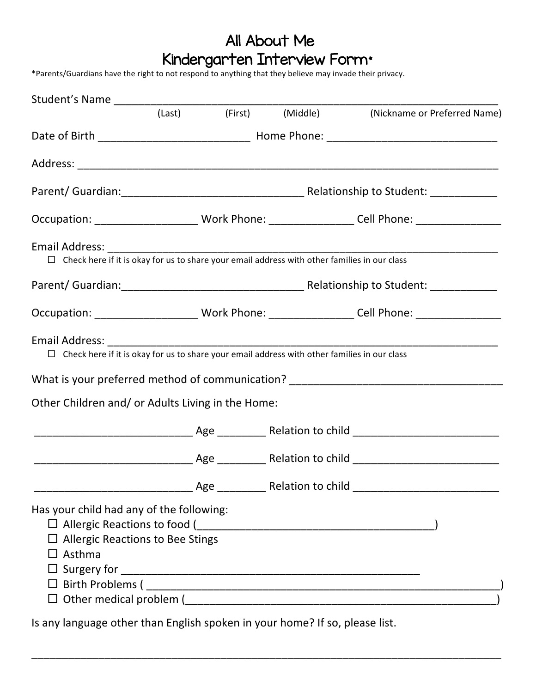## All About Me Kindergarten Interview Form\*

\*Parents/Guardians have the right to not respond to anything that they believe may invade their privacy.

|                                                                                                      |  |  |  | (Last) (First) (Middle) (Nickname or Preferred Name)                                                |  |
|------------------------------------------------------------------------------------------------------|--|--|--|-----------------------------------------------------------------------------------------------------|--|
|                                                                                                      |  |  |  |                                                                                                     |  |
|                                                                                                      |  |  |  |                                                                                                     |  |
|                                                                                                      |  |  |  |                                                                                                     |  |
|                                                                                                      |  |  |  | Occupation: _________________________Work Phone: ___________________Cell Phone: ___________________ |  |
|                                                                                                      |  |  |  |                                                                                                     |  |
|                                                                                                      |  |  |  |                                                                                                     |  |
|                                                                                                      |  |  |  | Occupation: __________________________Work Phone: ___________________Cell Phone: __________________ |  |
|                                                                                                      |  |  |  |                                                                                                     |  |
|                                                                                                      |  |  |  | What is your preferred method of communication? ________________________________                    |  |
| Other Children and/ or Adults Living in the Home:                                                    |  |  |  |                                                                                                     |  |
|                                                                                                      |  |  |  |                                                                                                     |  |
|                                                                                                      |  |  |  |                                                                                                     |  |
|                                                                                                      |  |  |  |                                                                                                     |  |
| Has your child had any of the following:<br>$\Box$ Allergic Reactions to Bee Stings<br>$\Box$ Asthma |  |  |  |                                                                                                     |  |

Is any language other than English spoken in your home? If so, please list.

\_\_\_\_\_\_\_\_\_\_\_\_\_\_\_\_\_\_\_\_\_\_\_\_\_\_\_\_\_\_\_\_\_\_\_\_\_\_\_\_\_\_\_\_\_\_\_\_\_\_\_\_\_\_\_\_\_\_\_\_\_\_\_\_\_\_\_\_\_\_\_\_\_\_\_\_\_